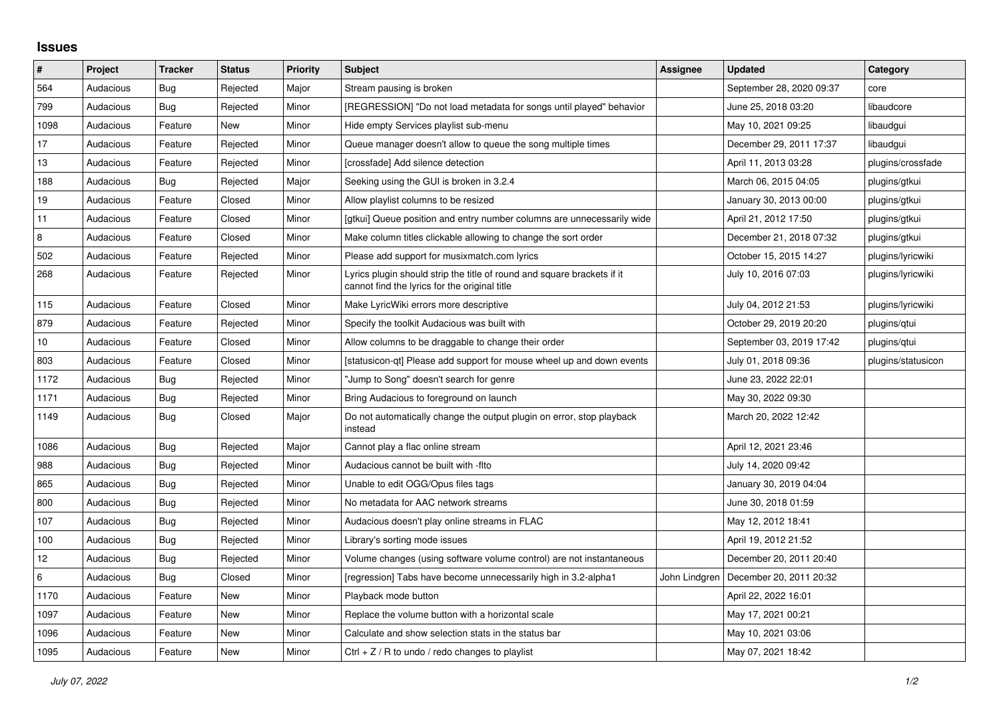## **Issues**

| $\vert$ # | Project   | <b>Tracker</b> | <b>Status</b> | <b>Priority</b> | <b>Subject</b>                                                                                                           | <b>Assignee</b> | <b>Updated</b>           | Category           |
|-----------|-----------|----------------|---------------|-----------------|--------------------------------------------------------------------------------------------------------------------------|-----------------|--------------------------|--------------------|
| 564       | Audacious | Bug            | Rejected      | Major           | Stream pausing is broken                                                                                                 |                 | September 28, 2020 09:37 | core               |
| 799       | Audacious | Bug            | Rejected      | Minor           | [REGRESSION] "Do not load metadata for songs until played" behavior                                                      |                 | June 25, 2018 03:20      | libaudcore         |
| 1098      | Audacious | Feature        | New           | Minor           | Hide empty Services playlist sub-menu                                                                                    |                 | May 10, 2021 09:25       | libaudgui          |
| 17        | Audacious | Feature        | Rejected      | Minor           | Queue manager doesn't allow to queue the song multiple times                                                             |                 | December 29, 2011 17:37  | libaudqui          |
| 13        | Audacious | Feature        | Rejected      | Minor           | [crossfade] Add silence detection                                                                                        |                 | April 11, 2013 03:28     | plugins/crossfade  |
| 188       | Audacious | Bug            | Rejected      | Major           | Seeking using the GUI is broken in 3.2.4                                                                                 |                 | March 06, 2015 04:05     | plugins/gtkui      |
| 19        | Audacious | Feature        | Closed        | Minor           | Allow playlist columns to be resized                                                                                     |                 | January 30, 2013 00:00   | plugins/gtkui      |
| 11        | Audacious | Feature        | Closed        | Minor           | [gtkui] Queue position and entry number columns are unnecessarily wide                                                   |                 | April 21, 2012 17:50     | plugins/gtkui      |
| 8         | Audacious | Feature        | Closed        | Minor           | Make column titles clickable allowing to change the sort order                                                           |                 | December 21, 2018 07:32  | plugins/gtkui      |
| 502       | Audacious | Feature        | Rejected      | Minor           | Please add support for musixmatch.com lyrics                                                                             |                 | October 15, 2015 14:27   | plugins/lyricwiki  |
| 268       | Audacious | Feature        | Rejected      | Minor           | Lyrics plugin should strip the title of round and square brackets if it<br>cannot find the lyrics for the original title |                 | July 10, 2016 07:03      | plugins/lyricwiki  |
| 115       | Audacious | Feature        | Closed        | Minor           | Make LyricWiki errors more descriptive                                                                                   |                 | July 04, 2012 21:53      | plugins/lyricwiki  |
| 879       | Audacious | Feature        | Rejected      | Minor           | Specify the toolkit Audacious was built with                                                                             |                 | October 29, 2019 20:20   | plugins/qtui       |
| 10        | Audacious | Feature        | Closed        | Minor           | Allow columns to be draggable to change their order                                                                      |                 | September 03, 2019 17:42 | plugins/gtui       |
| 803       | Audacious | Feature        | Closed        | Minor           | [statusicon-qt] Please add support for mouse wheel up and down events                                                    |                 | July 01, 2018 09:36      | plugins/statusicon |
| 1172      | Audacious | Bug            | Rejected      | Minor           | 'Jump to Song" doesn't search for genre                                                                                  |                 | June 23, 2022 22:01      |                    |
| 1171      | Audacious | <b>Bug</b>     | Rejected      | Minor           | Bring Audacious to foreground on launch                                                                                  |                 | May 30, 2022 09:30       |                    |
| 1149      | Audacious | Bug            | Closed        | Major           | Do not automatically change the output plugin on error, stop playback<br>instead                                         |                 | March 20, 2022 12:42     |                    |
| 1086      | Audacious | <b>Bug</b>     | Rejected      | Major           | Cannot play a flac online stream                                                                                         |                 | April 12, 2021 23:46     |                    |
| 988       | Audacious | Bug            | Rejected      | Minor           | Audacious cannot be built with -flto                                                                                     |                 | July 14, 2020 09:42      |                    |
| 865       | Audacious | Bug            | Rejected      | Minor           | Unable to edit OGG/Opus files tags                                                                                       |                 | January 30, 2019 04:04   |                    |
| 800       | Audacious | <b>Bug</b>     | Rejected      | Minor           | No metadata for AAC network streams                                                                                      |                 | June 30, 2018 01:59      |                    |
| 107       | Audacious | <b>Bug</b>     | Rejected      | Minor           | Audacious doesn't play online streams in FLAC                                                                            |                 | May 12, 2012 18:41       |                    |
| 100       | Audacious | Bug            | Rejected      | Minor           | Library's sorting mode issues                                                                                            |                 | April 19, 2012 21:52     |                    |
| 12        | Audacious | Bug            | Rejected      | Minor           | Volume changes (using software volume control) are not instantaneous                                                     |                 | December 20, 2011 20:40  |                    |
| 6         | Audacious | Bug            | Closed        | Minor           | [regression] Tabs have become unnecessarily high in 3.2-alpha1                                                           | John Lindgren   | December 20, 2011 20:32  |                    |
| 1170      | Audacious | Feature        | New           | Minor           | Playback mode button                                                                                                     |                 | April 22, 2022 16:01     |                    |
| 1097      | Audacious | Feature        | New           | Minor           | Replace the volume button with a horizontal scale                                                                        |                 | May 17, 2021 00:21       |                    |
| 1096      | Audacious | Feature        | New           | Minor           | Calculate and show selection stats in the status bar                                                                     |                 | May 10, 2021 03:06       |                    |
| 1095      | Audacious | Feature        | New           | Minor           | Ctrl + $Z$ / R to undo / redo changes to playlist                                                                        |                 | May 07, 2021 18:42       |                    |